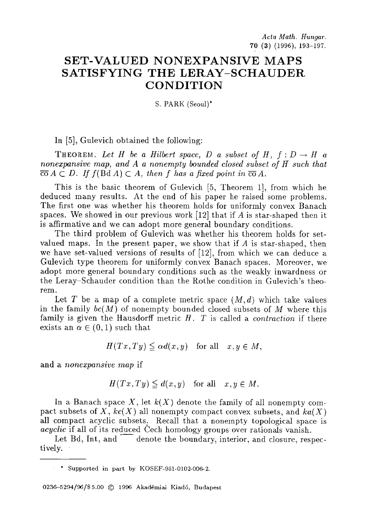## **SET-VALUED NONEXPANSIVE MAPS SATISFYING THE LERAY-SCHAUDER CONDITION**

S. PARK (Seoul)\*

In [5], Gulevich obtained the following:

THEOREM. Let H be a Hilbert space, D a subset of H,  $f: D \to H$  a *nonexpansive map, and A a nonempty bounded closed subset of H such that*   $\overline{co} A \subset D$ . If  $f(\text{Bd } A) \subset A$ , *then f has a fixed point in*  $\overline{co} A$ .

This is the basic theorem of Gulevich [5, Theorem 1], from which he deduced many results. At the end of his paper he raised some problems. The first one was whether his theorem holds for uniformly convex Banach spaces. We showed in our previous work [12] that if A is star-shaped then it is affirmative and we can adopt more general boundary conditions.

The third problem of Gulevich was whether his theorem holds for setvalued maps. In the present paper, we show that if A is star-shaped, then we have set-valued versions of results of [12], from which we can deduce a Gulevich type theorem for uniformly convex Banach spaces. Moreover, we adopt more general boundary conditions such as the weakly inwardness or the Leray-Schauder condition than the Rothe condition in Gulevich's theorem.

Let T be a map of a complete metric space  $(M, d)$  which take values in the family *bc(M)* of nonempty bounded closed subsets of M where this family is given the Hausdorff metric H. T is called a *contraction* if there exists an  $\alpha \in (0,1)$  such that

$$
H(Tx,Ty) \leqq \alpha d(x,y) \quad \text{for all} \quad x,y \in M,
$$

and a *nonexpansive map* if

$$
H(Tx, Ty) \le d(x, y) \quad \text{for all} \quad x, y \in M.
$$

In a Banach space X, let  $k(X)$  denote the family of all nonempty compact subsets of X,  $kc(X)$  all nonempty compact convex subsets, and  $ka(X)$ all compact acyclic subsets. Recall that a nonempty topological space is *acyclic* if all of its reduced Cech homology groups over rationals vanish.

Let Bd, Int, and  $\overline{\phantom{a}}$  denote the boundary, interior, and closure, respectively.

\* Supported in part by KOSEF-951-0102-006-2.

0236-5294/96/\$5.00 © 1996 Akadémiai Kiadó, Budapest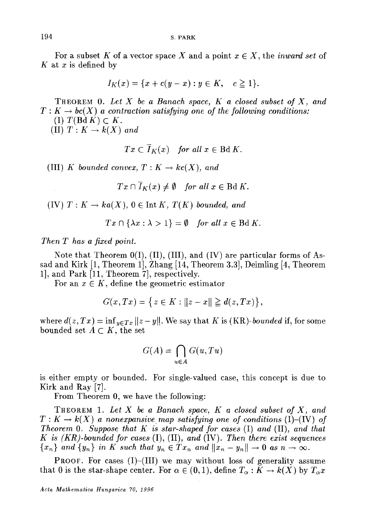For a subset K of a vector space X and a point  $x \in X$ , the *inward set* of K at x is defined by

$$
I_K(x) = \{x + c(y - x) : y \in K, \quad c \ge 1\}.
$$

THEOREM 0. *Let X be a Banach space, K a closed subset of X, and*   $T: K \to bc(X)$  a contraction satisfying one of the following conditions:

(I)  $T(\text{Bd } K) \subset K$ .

 $(1)$   $T: K \rightarrow k(X)$  and

$$
Tx \subset I_K(x) \quad \text{for all } x \in \text{Bd } K.
$$

(III) *K* bounded convex,  $T: K \to kc(X)$ , and

$$
Tx \cap \overline{I}_K(x) \neq \emptyset \quad \text{for all } x \in \text{Bd } K.
$$

(IV)  $T: K \to ka(X)$ ,  $0 \in \text{Int } K$ ,  $T(K)$  bounded, and

$$
Tx \cap {\lambda x : \lambda > 1} = \emptyset \quad \text{for all } x \in \text{Bd } K.
$$

*Then T has a fixed point.* 

Note that Theorem  $0(I)$ ,  $(II)$ ,  $(III)$ , and  $(IV)$  are particular forms of Assad and Kirk [1, Theorem 1], Zhang [14, Theorem 3.3], Deimling [4, Theorem 1], and Park [11, Theorem 7], respectively.

For an  $x \in K$ , define the geometric estimator

$$
G(x,Tx) = \left\{ z \in K : ||z - x|| \ge d(z,Tx) \right\},\
$$

where  $d(z, Tx) = \inf_{y \in Tx} ||z - y||$ . We say that K is *(KR)-bounded* if, for some bounded set  $A \subset K$ , the set

$$
G(A) = \bigcap_{u \in A} G(u, Tu)
$$

is either empty or bounded. For single-valued case, this concept is due to Kirk and Ray [7].

From Theorem 0, we have the following:

TREOREM 1. *Let X be a Banach space, K a closed subset of X, and*   $T: K \to k(X)$  a nonexpansive map satisfying one of conditions (I)–(IV) of *Theorem O. Suppose that K is star-shaped for cases* (I) *and* (II), *and that K is (KR)-bounded for cases* (I), (II), *and* (IV). *Then there exist sequences*   ${x_n}$  *and*  ${y_n}$  *in K such that*  $y_n \in Tx_n$  *and*  $||x_n - y_n|| \to 0$  *as*  $n \to \infty$ .

PROOF. For cases (I)-(III) we may without loss of generality assume that 0 is the star-shape center. For  $\alpha \in (0,1)$ , define  $T_{\alpha}: K \to k(X)$  by  $T_{\alpha}x$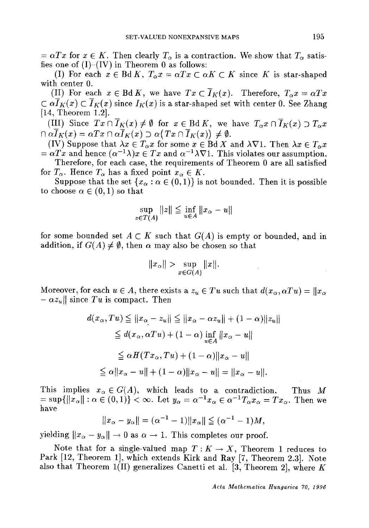$= \alpha Tx$  for  $x \in K$ . Then clearly  $T_{\alpha}$  is a contraction. We show that  $T_{\alpha}$  satisfies one of  $(I)$ - $(IV)$  in Theorem 0 as follows:

(I) For each  $x \in \text{Bd } K$ ,  $T_{\alpha} x = \alpha Tx \subset \alpha K \subset K$  since K is star-shaped with center 0.

(II) For each  $x \in \text{Bd } K$ , we have  $Tx \subset \overline{I}_K(x)$ . Therefore,  $T_\alpha x = \alpha Tx$  $\subset \alpha \overline{I}_K(x) \subset \overline{I}_K(x)$  since  $I_K(x)$  is a star-shaped set with center 0. See Zhang [14, Theorem 1.2].

(III) Since  $Tx \cap \overline{I}_K(x) \neq \emptyset$  for  $x \in \text{Bd } K$ , we have  $T_\alpha x \cap \overline{I}_K(x) \supset T_\alpha x$  $\Omega \cap \alpha \overline{I}_K(x) = \alpha Tx \cap \alpha \overline{I}_K(x) \supset \alpha (Tx \cap \overline{I}_K(x)) \neq \emptyset.$ 

(IV) Suppose that  $\lambda x \in T_\alpha x$  for some  $x \in \text{Bd } X$  and  $\lambda \nabla$ 1. Then  $\lambda x \in T_\alpha x$  $=\alpha Tx$  and hence  $(\alpha^{-1}\lambda)x \in Tx$  and  $\alpha^{-1}\lambda\nabla$ 1. This violates our assumption. Therefore, for each case, the requirements of Theorem 0 are all satisfied

for  $T_{\alpha}$ . Hence  $T_{\alpha}$  has a fixed point  $x_{\alpha} \in K$ .

Suppose that the set  $\{x_\alpha : \alpha \in (0,1)\}$  is not bounded. Then it is possible to choose  $\alpha \in (0,1)$  so that

$$
\sup_{z \in T(A)} ||z|| \le \inf_{u \in A} ||x_{\alpha} - u||
$$

for some bounded set  $A \subset K$  such that  $G(A)$  is empty or bounded, and in addition, if  $G(A) \neq \emptyset$ , then  $\alpha$  may also be chosen so that

$$
||x_{\alpha}|| > \sup_{x \in G(A)} ||x||.
$$

Moreover, for each  $u \in A$ , there exists a  $z_u \in Tu$  such that  $d(x_\alpha, \alpha Tu) = ||x_\alpha||$  $- \alpha z_u$  since Tu is compact. Then

$$
d(x_{\alpha}, Tu) \leq ||x_{\alpha} - z_u|| \leq ||x_{\alpha} - \alpha z_u|| + (1 - \alpha)||z_u||
$$
  
\n
$$
\leq d(x_{\alpha}, \alpha Tu) + (1 - \alpha) \inf_{u \in A} ||x_{\alpha} - u||
$$
  
\n
$$
\leq \alpha H(Tx_{\alpha}, Tu) + (1 - \alpha) ||x_{\alpha} - u||
$$
  
\n
$$
\leq \alpha ||x_{\alpha} - u|| + (1 - \alpha) ||x_{\alpha} - u|| = ||x_{\alpha} - u||.
$$

This implies  $x_{\alpha} \in G(A)$ , which leads to a contradiction. Thus M  $= \sup\{\|x_\alpha\| : \alpha \in (0,1)\} < \infty.$  Let  $y_\alpha = \alpha^{-1}x_\alpha \in \alpha^{-1}T_\alpha x_\alpha = Tx_\alpha.$  Then we have

$$
||x_{\alpha}-y_{\alpha}||=(\alpha^{-1}-1)||x_{\alpha}|| \leq (\alpha^{-1}-1)M,
$$

yielding  $||x_{\alpha} - y_{\alpha}|| \rightarrow 0$  as  $\alpha \rightarrow 1$ . This completes our proof.

Note that for a single-valued map  $T: K \to X$ , Theorem 1 reduces to Park [12, Theorem 1], which extends Kirk and Ray [7, Theorem 2.3]. Note also that Theorem 1(II) generalizes Canetti et al. [3, Theorem 2], where K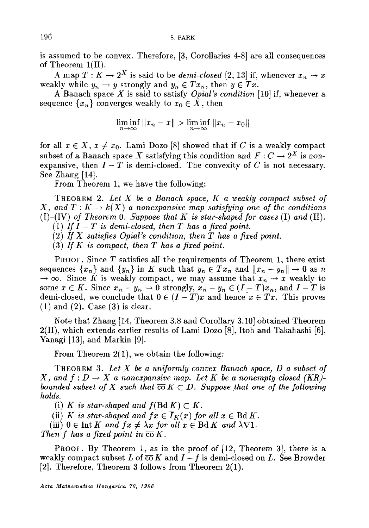is assumed to be convex. Therefore, [3, Corollaries 4-8] are all consequences of Theorem l(II).

A map  $T: K \to 2^X$  is said to be *demi-closed* [2, 13] if, whenever  $x_n \to x$ weakly while  $y_n \to y$  strongly and  $y_n \in Tx_n$ , then  $y \in Tx$ .

A Banach space X is said to satisfy *Opial's condition* [10] if, whenever a sequence  $\{x_n\}$  converges weakly to  $x_0 \in X$ , then

$$
\liminf_{n\to\infty}||x_n-x||>\liminf_{n\to\infty}||x_n-x_0||
$$

for all  $x \in X$ ,  $x \neq x_0$ . Lami Dozo [8] showed that if C is a weakly compact subset of a Banach space X satisfying this condition and  $F: C \to 2^X$  is nonexpansive, then  $I - T$  is demi-closed. The convexity of C is not necessary. See Zhang [14].

From Theorem 1, we have the following:

THEOREM 2. *Let X be a Banach space, K a weakly compact subset of X*, and  $T: K \to k(X)$  a nonexpansive map satisfying one of the conditions  $(1)-(IV)$  *of Theorem 0. Suppose that K is star-shaped for cases* (I) *and* (II). (1) If  $I-T$  is demi-closed, then  $T$  has a fixed point.

 $(2)$  *If X satisfies Opial's condition, then T has a fixed point.* 

 $(3)$  *If K is compact, then T has a fixed point.* 

**PROOF.** Since  $T$  satisfies all the requirements of Theorem 1, there exist sequences  $\{x_n\}$  and  $\{y_n\}$  in K such that  $y_n \in Tx_n$  and  $||x_n - y_n|| \to 0$  as n  $\rightarrow \infty$ . Since K is weakly compact, we may assume that  $x_n \rightarrow x$  weakly to some  $x \in K$ . Since  $x_n - y_n \to 0$  strongly,  $x_n - y_n \in (I - T)x_n$ , and  $I - T$  is demi-closed, we conclude that  $0 \in (I - T)x$  and hence  $x \in Tx$ . This proves  $(1)$  and  $(2)$ . Case  $(3)$  is clear.

Note that Zhang [14, Theorem 3.8 and Corollary 3.10] obtained Theorem 2(II), which extends earlier results of Lami Dozo [8], Itoh and Takahashi [6], Yanagi [13], and Markin [9].

From Theorem 2(1), we obtain the following:

THEOREM 3. *Let X be a uniformly convex Banach space, D a subset of X*, and  $f: D \to X$  a nonexpansive map. Let K be a nonempty closed (KR)*bounded subset of X such that*  $\overline{co} K \subset D$ . Suppose that one of the following *holds.* 

(i) *K* is star-shaped and  $f(Bd K) \subset K$ .

(ii) *K is star-shaped and*  $fx \in \overline{I}_K(x)$  *for all*  $x \in \text{Bd } K$ .

(iii)  $0 \in \text{Int } K$  and  $fx \neq \lambda x$  for all  $x \in \text{Bd } K$  and  $\lambda \nabla 1$ .

*Then f has a fixed point in*  $\overline{co} K$ .

PROOF. By Theorem 1, as in the proof of [12, Theorem 3], there is a weakly compact subset L of  $\overline{co}K$  and  $I-f$  is demi-closed on L. See Browder [2]. Therefore, Theorem' 3 follows from Theorem 2(1).